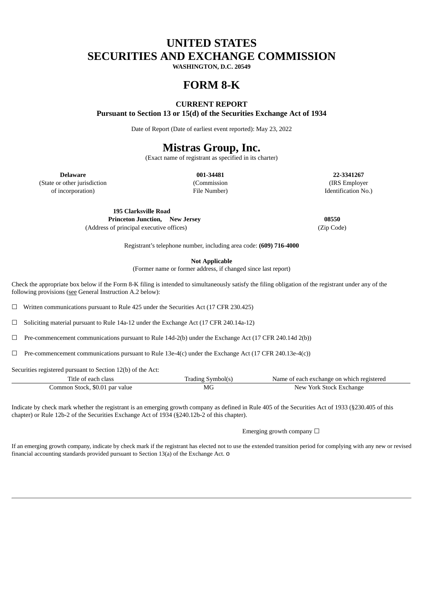# **UNITED STATES SECURITIES AND EXCHANGE COMMISSION**

**WASHINGTON, D.C. 20549**

## **FORM 8-K**

#### **CURRENT REPORT**

**Pursuant to Section 13 or 15(d) of the Securities Exchange Act of 1934**

Date of Report (Date of earliest event reported): May 23, 2022

## **Mistras Group, Inc.**

(Exact name of registrant as specified in its charter)

(State or other jurisdiction (Commission (IRS Employer

**Delaware 001-34481 22-3341267** of incorporation) File Number) Identification No.)

> **195 Clarksville Road Princeton Junction, New Jersey 08550** (Address of principal executive offices) (Zip Code)

Registrant's telephone number, including area code: **(609) 716-4000**

**Not Applicable**

(Former name or former address, if changed since last report)

Check the appropriate box below if the Form 8-K filing is intended to simultaneously satisfy the filing obligation of the registrant under any of the following provisions (see General Instruction A.2 below):

☐ Written communications pursuant to Rule 425 under the Securities Act (17 CFR 230.425)

☐ Soliciting material pursuant to Rule 14a-12 under the Exchange Act (17 CFR 240.14a-12)

 $\Box$  Pre-commencement communications pursuant to Rule 14d-2(b) under the Exchange Act (17 CFR 240.14d 2(b))

☐ Pre-commencement communications pursuant to Rule 13e-4(c) under the Exchange Act (17 CFR 240.13e-4(c))

Securities registered pursuant to Section 12(b) of the Act:

| Title of each class            | Trading Symbol(s) | Name of each exchange on which registered |
|--------------------------------|-------------------|-------------------------------------------|
| Common Stock, \$0.01 par value | MG<br>____        | New York Stock Exchange                   |

Indicate by check mark whether the registrant is an emerging growth company as defined in Rule 405 of the Securities Act of 1933 (§230.405 of this chapter) or Rule 12b-2 of the Securities Exchange Act of 1934 (§240.12b-2 of this chapter).

Emerging growth company  $\Box$ 

If an emerging growth company, indicate by check mark if the registrant has elected not to use the extended transition period for complying with any new or revised financial accounting standards provided pursuant to Section 13(a) of the Exchange Act. o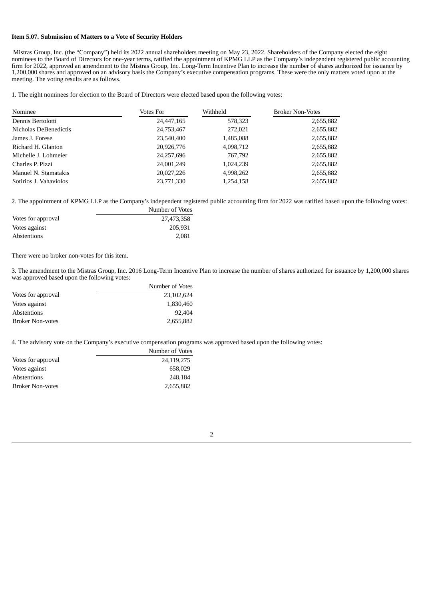#### **Item 5.07. Submission of Matters to a Vote of Security Holders**

Mistras Group, Inc. (the "Company") held its 2022 annual shareholders meeting on May 23, 2022. Shareholders of the Company elected the eight nominees to the Board of Directors for one-year terms, ratified the appointment of KPMG LLP as the Company's independent registered public accounting firm for 2022, approved an amendment to the Mistras Group, Inc. Long-Term Incentive Plan to increase the number of shares authorized for issuance by 1,200,000 shares and approved on an advisory basis the Company's executive compensation programs. These were the only matters voted upon at the meeting. The voting results are as follows.

1. The eight nominees for election to the Board of Directors were elected based upon the following votes:

| Nominee                | Votes For  | Withheld  | <b>Broker Non-Votes</b> |
|------------------------|------------|-----------|-------------------------|
| Dennis Bertolotti      | 24,447,165 | 578,323   | 2,655,882               |
| Nicholas DeBenedictis  | 24,753,467 | 272.021   | 2,655,882               |
| James J. Forese        | 23,540,400 | 1,485,088 | 2,655,882               |
| Richard H. Glanton     | 20,926,776 | 4,098,712 | 2,655,882               |
| Michelle J. Lohmeier   | 24,257,696 | 767,792   | 2,655,882               |
| Charles P. Pizzi       | 24,001,249 | 1,024,239 | 2,655,882               |
| Manuel N. Stamatakis   | 20,027,226 | 4,998,262 | 2,655,882               |
| Sotirios J. Vahaviolos | 23,771,330 | 1,254,158 | 2,655,882               |

Number of Votes

2. The appointment of KPMG LLP as the Company's independent registered public accounting firm for 2022 was ratified based upon the following votes:

|                    | TAMITIDEL OF AOLES |
|--------------------|--------------------|
| Votes for approval | 27,473,358         |
| Votes against      | 205.931            |
| Abstentions        | 2.081              |

There were no broker non-votes for this item.

3. The amendment to the Mistras Group, Inc. 2016 Long-Term Incentive Plan to increase the number of shares authorized for issuance by 1,200,000 shares was approved based upon the following votes:

|                         | Number of Votes |
|-------------------------|-----------------|
| Votes for approval      | 23,102,624      |
| Votes against           | 1,830,460       |
| Abstentions             | 92,404          |
| <b>Broker Non-votes</b> | 2,655,882       |

4. The advisory vote on the Company's executive compensation programs was approved based upon the following votes:

|                         | Number of Votes |
|-------------------------|-----------------|
| Votes for approval      | 24,119,275      |
| Votes against           | 658.029         |
| Abstentions             | 248.184         |
| <b>Broker Non-votes</b> | 2,655,882       |

2